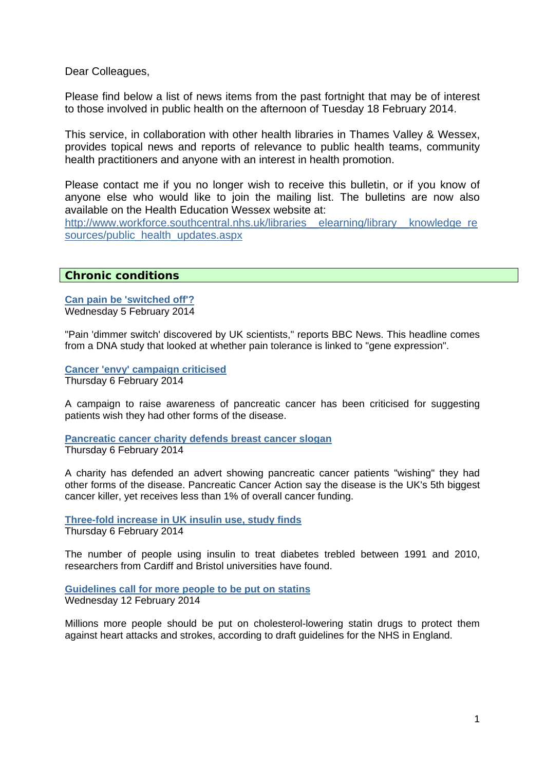Dear Colleagues,

Please find below a list of news items from the past fortnight that may be of interest to those involved in public health on the afternoon of Tuesday 18 February 2014.

This service, in collaboration with other health libraries in Thames Valley & Wessex, provides topical news and reports of relevance to public health teams, community health practitioners and anyone with an interest in health promotion.

Please contact me if you no longer wish to receive this bulletin, or if you know of anyone else who would like to join the mailing list. The bulletins are now also available on the Health Education Wessex website at:

http://www.workforce.southcentral.nhs.uk/libraries\_elearning/library\_knowledge\_re [sources/public\\_health\\_updates.aspx](http://www.workforce.southcentral.nhs.uk/libraries__elearning/library__knowledge_resources/public_health_updates.aspx)

# **Chronic conditions**

**[Can pain be 'switched off'?](http://www.nhs.uk/news/2014/02February/Pages/Can-pain-be-switched-off.aspx)** Wednesday 5 February 2014

"Pain 'dimmer switch' discovered by UK scientists," reports BBC News. This headline comes from a DNA study that looked at whether pain tolerance is linked to "gene expression".

**[Cancer 'envy' campaign criticised](http://www.bbc.co.uk/news/health-26064830)** Thursday 6 February 2014

A campaign to raise awareness of pancreatic cancer has been criticised for suggesting patients wish they had other forms of the disease.

**[Pancreatic cancer charity defends breast cancer slogan](http://www.bbc.co.uk/news/health-26067227)** Thursday 6 February 2014

A charity has defended an advert showing pancreatic cancer patients "wishing" they had other forms of the disease. Pancreatic Cancer Action say the disease is the UK's 5th biggest cancer killer, yet receives less than 1% of overall cancer funding.

**[Three-fold increase in UK insulin use, study finds](http://www.bbc.co.uk/news/health-26065673)** Thursday 6 February 2014

The number of people using insulin to treat diabetes trebled between 1991 and 2010, researchers from Cardiff and Bristol universities have found.

**[Guidelines call for more people to be put on statins](http://www.bbc.co.uk/news/health-26132758)** Wednesday 12 February 2014

Millions more people should be put on cholesterol-lowering statin drugs to protect them against heart attacks and strokes, according to draft guidelines for the NHS in England.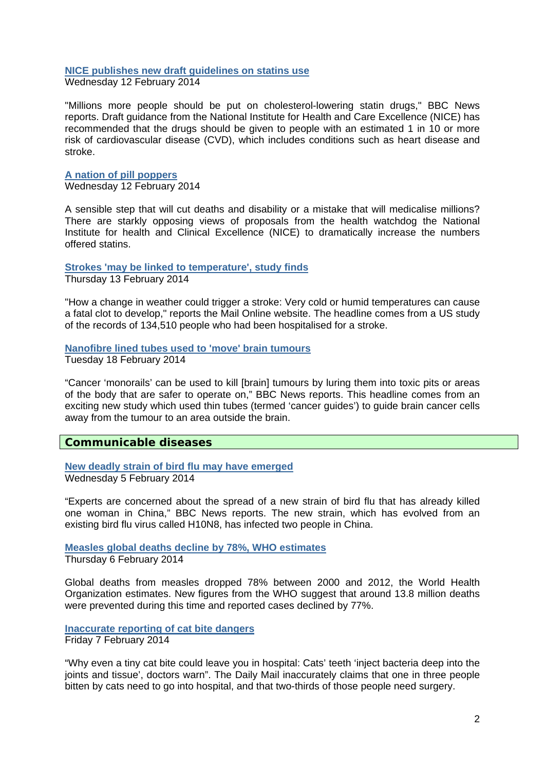#### **[NICE publishes new draft guidelines on statins use](http://www.nhs.uk/news/2014/02February/Pages/NICE-publishes-new-draft-guidelines-on-statins-use.aspx)**

Wednesday 12 February 2014

"Millions more people should be put on cholesterol-lowering statin drugs," BBC News reports. Draft guidance from the National Institute for Health and Care Excellence (NICE) has recommended that the drugs should be given to people with an estimated 1 in 10 or more risk of cardiovascular disease (CVD), which includes conditions such as heart disease and stroke.

### **[A nation of pill poppers](http://www.bbc.co.uk/news/health-26152492)**

Wednesday 12 February 2014

A sensible step that will cut deaths and disability or a mistake that will medicalise millions? There are starkly opposing views of proposals from the health watchdog the National Institute for health and Clinical Excellence (NICE) to dramatically increase the numbers offered statins.

#### **[Strokes 'may be linked to temperature', study finds](http://www.nhs.uk/news/2014/02February/Pages/Strokes-may-be-linked-to-temperature-study-finds.aspx)**

Thursday 13 February 2014

"How a change in weather could trigger a stroke: Very cold or humid temperatures can cause a fatal clot to develop," reports the Mail Online website. The headline comes from a US study of the records of 134,510 people who had been hospitalised for a stroke.

### **[Nanofibre lined tubes used to 'move' brain tumours](http://www.nhs.uk/news/2014/02February/Pages/Nanofibre-lined-tubes-used-to-move-brain-tumours.aspx)**

Tuesday 18 February 2014

"Cancer 'monorails' can be used to kill [brain] tumours by luring them into toxic pits or areas of the body that are safer to operate on," BBC News reports. This headline comes from an exciting new study which used thin tubes (termed 'cancer guides') to guide brain cancer cells away from the tumour to an area outside the brain.

### **Communicable diseases**

**[New deadly strain of bird flu may have emerged](http://www.nhs.uk/news/2014/02February/Pages/New-deadly-strain-of-bird-flu-may-have-emerged.aspx)** Wednesday 5 February 2014

"Experts are concerned about the spread of a new strain of bird flu that has already killed one woman in China," BBC News reports. The new strain, which has evolved from an existing bird flu virus called H10N8, has infected two people in China.

**[Measles global deaths decline by 78%, WHO estimates](http://www.bbc.co.uk/news/health-26075567)**

Thursday 6 February 2014

Global deaths from measles dropped 78% between 2000 and 2012, the World Health Organization estimates. New figures from the WHO suggest that around 13.8 million deaths were prevented during this time and reported cases declined by 77%.

**[Inaccurate reporting of cat bite dangers](http://www.nhs.uk/news/2014/02February/Pages/Dangers-of-cat-bites-overstated-by-media.aspx)** Friday 7 February 2014

"Why even a tiny cat bite could leave you in hospital: Cats' teeth 'inject bacteria deep into the joints and tissue', doctors warn". The Daily Mail inaccurately claims that one in three people bitten by cats need to go into hospital, and that two-thirds of those people need surgery.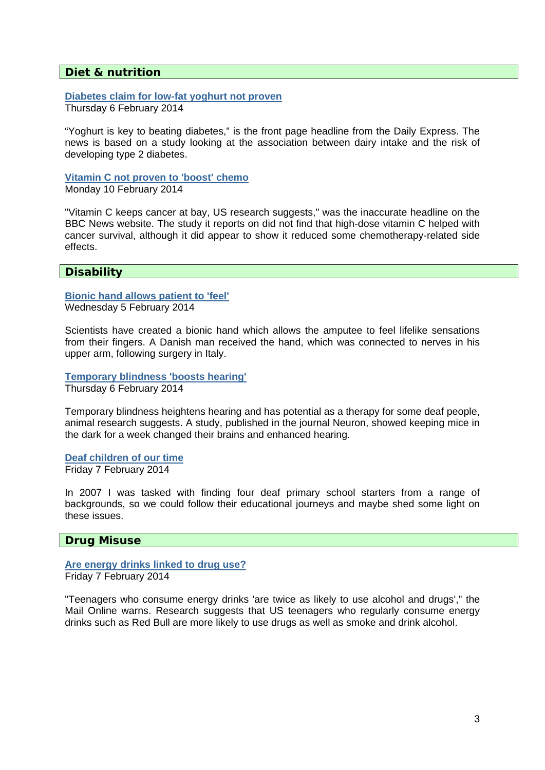# **Diet & nutrition**

**[Diabetes claim for low-fat yoghurt not proven](http://www.nhs.uk/news/2014/02February/Pages/Low-fat-yoghurt-may-cut-diabetes-risk.aspx)** Thursday 6 February 2014

"Yoghurt is key to beating diabetes," is the front page headline from the Daily Express. The news is based on a study looking at the association between dairy intake and the risk of developing type 2 diabetes.

**[Vitamin C not proven to 'boost' chemo](http://www.nhs.uk/news/2014/02February/Pages/Vitamin-C-not-proven-to-boost-chemo.aspx)** Monday 10 February 2014

"Vitamin C keeps cancer at bay, US research suggests," was the inaccurate headline on the BBC News website. The study it reports on did not find that high-dose vitamin C helped with cancer survival, although it did appear to show it reduced some chemotherapy-related side effects.

# **Disability**

**[Bionic hand allows patient to 'feel'](http://www.bbc.co.uk/news/health-26036429)** Wednesday 5 February 2014

Scientists have created a bionic hand which allows the amputee to feel lifelike sensations from their fingers. A Danish man received the hand, which was connected to nerves in his upper arm, following surgery in Italy.

**[Temporary blindness 'boosts hearing'](http://www.bbc.co.uk/news/health-26046229)** Thursday 6 February 2014

Temporary blindness heightens hearing and has potential as a therapy for some deaf people, animal research suggests. A study, published in the journal Neuron, showed keeping mice in the dark for a week changed their brains and enhanced hearing.

### **[Deaf children of our time](http://www.bbc.co.uk/news/blogs-ouch-26072894)**

Friday 7 February 2014

In 2007 I was tasked with finding four deaf primary school starters from a range of backgrounds, so we could follow their educational journeys and maybe shed some light on these issues.

### **Drug Misuse**

**[Are energy drinks linked to drug use?](http://www.nhs.uk/news/2014/02February/Pages/Are-energy-drinks-linked-to-drug-use.aspx)** Friday 7 February 2014

"Teenagers who consume energy drinks 'are twice as likely to use alcohol and drugs'," the Mail Online warns. Research suggests that US teenagers who regularly consume energy drinks such as Red Bull are more likely to use drugs as well as smoke and drink alcohol.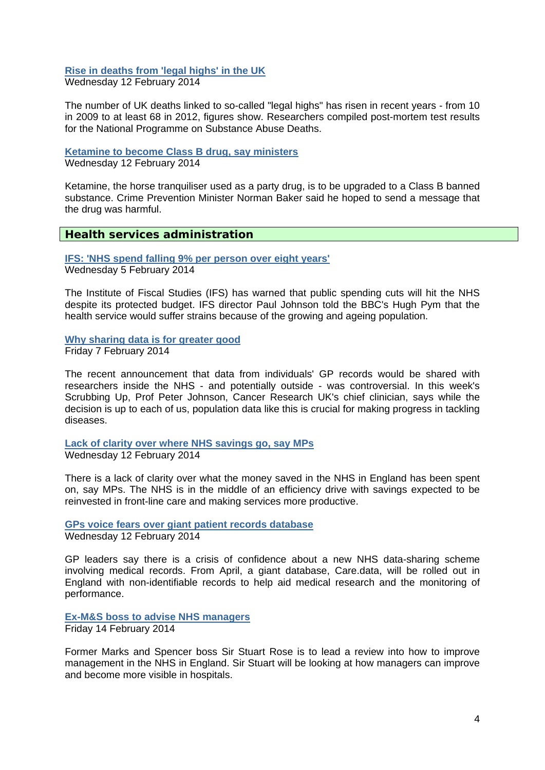# **[Rise in deaths from 'legal highs' in the UK](http://www.bbc.co.uk/news/health-26089126)**

Wednesday 12 February 2014

The number of UK deaths linked to so-called "legal highs" has risen in recent years - from 10 in 2009 to at least 68 in 2012, figures show. Researchers compiled post-mortem test results for the National Programme on Substance Abuse Deaths.

### **[Ketamine to become Class B drug, say ministers](http://www.bbc.co.uk/news/uk-26151459)**

Wednesday 12 February 2014

Ketamine, the horse tranquiliser used as a party drug, is to be upgraded to a Class B banned substance. Crime Prevention Minister Norman Baker said he hoped to send a message that the drug was harmful.

# **Health services administration**

**[IFS: 'NHS spend falling 9% per person over eight years'](http://www.bbc.co.uk/news/health-26051707)** Wednesday 5 February 2014

The Institute of Fiscal Studies (IFS) has warned that public spending cuts will hit the NHS despite its protected budget. IFS director Paul Johnson told the BBC's Hugh Pym that the health service would suffer strains because of the growing and ageing population.

**[Why sharing data is for greater good](http://www.bbc.co.uk/news/health-25988534)** Friday 7 February 2014

The recent announcement that data from individuals' GP records would be shared with researchers inside the NHS - and potentially outside - was controversial. In this week's Scrubbing Up, Prof Peter Johnson, Cancer Research UK's chief clinician, says while the decision is up to each of us, population data like this is crucial for making progress in tackling diseases.

**[Lack of clarity over where NHS savings go, say MPs](http://www.bbc.co.uk/news/health-26135270)** Wednesday 12 February 2014

There is a lack of clarity over what the money saved in the NHS in England has been spent on, say MPs. The NHS is in the middle of an efficiency drive with savings expected to be reinvested in front-line care and making services more productive.

**[GPs voice fears over giant patient records database](http://www.bbc.co.uk/news/health-26151458)**

Wednesday 12 February 2014

GP leaders say there is a crisis of confidence about a new NHS data-sharing scheme involving medical records. From April, a giant database, Care.data, will be rolled out in England with non-identifiable records to help aid medical research and the monitoring of performance.

# **[Ex-M&S boss to advise NHS managers](http://www.bbc.co.uk/news/health-26175151)**

Friday 14 February 2014

Former Marks and Spencer boss Sir Stuart Rose is to lead a review into how to improve management in the NHS in England. Sir Stuart will be looking at how managers can improve and become more visible in hospitals.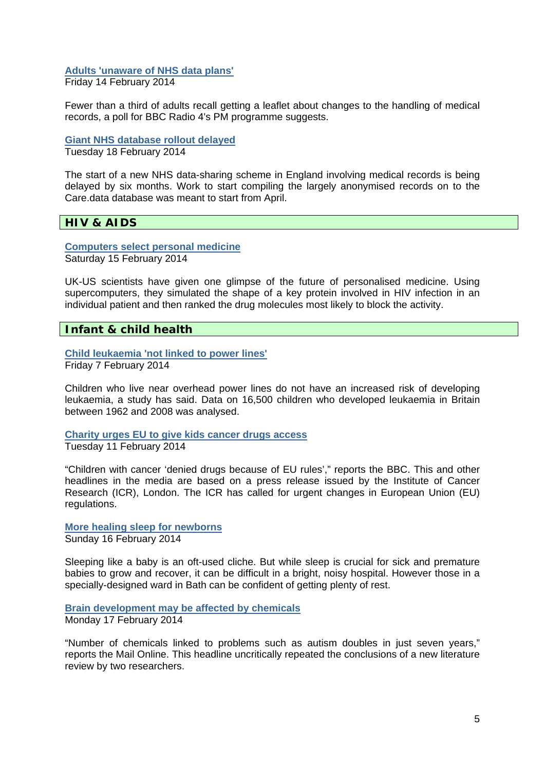### **[Adults 'unaware of NHS data plans'](http://www.bbc.co.uk/news/health-26187980)** Friday 14 February 2014

Fewer than a third of adults recall getting a leaflet about changes to the handling of medical records, a poll for BBC Radio 4's PM programme suggests.

**[Giant NHS database rollout delayed](http://www.bbc.co.uk/news/health-26239532)**

Tuesday 18 February 2014

The start of a new NHS data-sharing scheme in England involving medical records is being delayed by six months. Work to start compiling the largely anonymised records on to the Care.data database was meant to start from April.

# **HIV & AIDS**

**[Computers select personal medicine](http://www.bbc.co.uk/news/science-environment-26213522)** Saturday 15 February 2014

UK-US scientists have given one glimpse of the future of personalised medicine. Using supercomputers, they simulated the shape of a key protein involved in HIV infection in an individual patient and then ranked the drug molecules most likely to block the activity.

# **Infant & child health**

**[Child leukaemia 'not linked to power lines'](http://www.bbc.co.uk/news/health-26068363)** Friday 7 February 2014

Children who live near overhead power lines do not have an increased risk of developing leukaemia, a study has said. Data on 16,500 children who developed leukaemia in Britain between 1962 and 2008 was analysed.

**[Charity urges EU to give kids cancer drugs access](http://www.nhs.uk/news/2014/02February/Pages/Children-missing-out-on-cancer-drugs-due-to-EU.aspx)** Tuesday 11 February 2014

"Children with cancer 'denied drugs because of EU rules'," reports the BBC. This and other headlines in the media are based on a press release issued by the Institute of Cancer Research (ICR), London. The ICR has called for urgent changes in European Union (EU) regulations.

**[More healing sleep for newborns](http://www.bbc.co.uk/news/health-26071453)** Sunday 16 February 2014

Sleeping like a baby is an oft-used cliche. But while sleep is crucial for sick and premature babies to grow and recover, it can be difficult in a bright, noisy hospital. However those in a specially-designed ward in Bath can be confident of getting plenty of rest.

#### **[Brain development may be affected by chemicals](http://www.nhs.uk/news/2014/02February/Pages/Brain-development-may-be-affected-by-chemicals.aspx)** Monday 17 February 2014

"Number of chemicals linked to problems such as autism doubles in just seven years," reports the Mail Online. This headline uncritically repeated the conclusions of a new literature review by two researchers.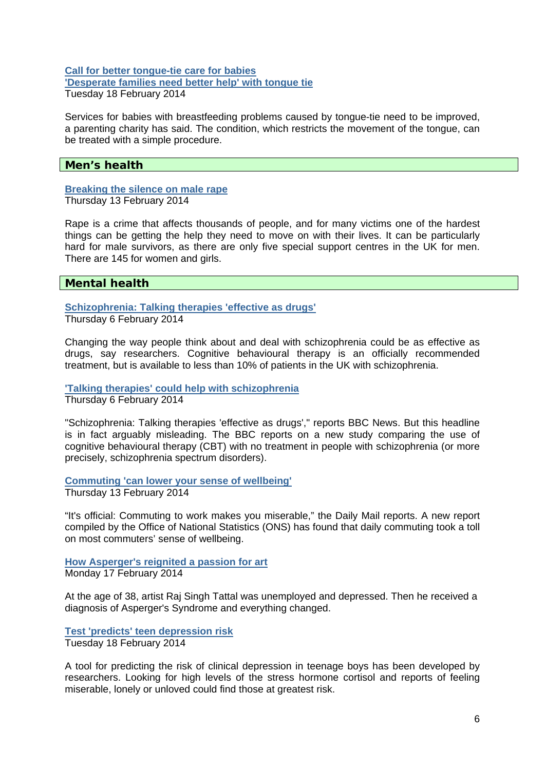### **[Call for better tongue-tie care for babies](http://www.bbc.co.uk/news/health-26237482) ['Desperate families need better help' with tongue tie](http://www.bbc.co.uk/news/health-26199591)** Tuesday 18 February 2014

Services for babies with breastfeeding problems caused by tongue-tie need to be improved, a parenting charity has said. The condition, which restricts the movement of the tongue, can be treated with a simple procedure.

### **Men's health**

#### **[Breaking the silence on male rape](http://www.bbc.co.uk/news/uk-26167542)** Thursday 13 February 2014

Rape is a crime that affects thousands of people, and for many victims one of the hardest things can be getting the help they need to move on with their lives. It can be particularly hard for male survivors, as there are only five special support centres in the UK for men. There are 145 for women and girls.

# **Mental health**

**[Schizophrenia: Talking therapies 'effective as drugs'](http://www.bbc.co.uk/news/health-26046228)** Thursday 6 February 2014

Changing the way people think about and deal with schizophrenia could be as effective as drugs, say researchers. Cognitive behavioural therapy is an officially recommended treatment, but is available to less than 10% of patients in the UK with schizophrenia.

**['Talking therapies' could help with schizophrenia](http://www.nhs.uk/news/2014/02February/Pages/Talking-therapies-could-help-with-schizophrenia.aspx)** Thursday 6 February 2014

"Schizophrenia: Talking therapies 'effective as drugs'," reports BBC News. But this headline is in fact arguably misleading. The BBC reports on a new study comparing the use of cognitive behavioural therapy (CBT) with no treatment in people with schizophrenia (or more precisely, schizophrenia spectrum disorders).

**[Commuting 'can lower your sense of wellbeing'](http://www.nhs.uk/news/2014/02February/Pages/Commuting-can-lower-your-sense-of-wellbeing.aspx)** Thursday 13 February 2014

"It's official: Commuting to work makes you miserable," the Daily Mail reports. A new report compiled by the Office of National Statistics (ONS) has found that daily commuting took a toll on most commuters' sense of wellbeing.

**[How Asperger's reignited a passion for art](http://www.bbc.co.uk/news/blogs-ouch-26193704)** Monday 17 February 2014

At the age of 38, artist Raj Singh Tattal was unemployed and depressed. Then he received a diagnosis of Asperger's Syndrome and everything changed.

**[Test 'predicts' teen depression risk](http://www.bbc.co.uk/news/health-26224812)** Tuesday 18 February 2014

A tool for predicting the risk of clinical depression in teenage boys has been developed by researchers. Looking for high levels of the stress hormone cortisol and reports of feeling miserable, lonely or unloved could find those at greatest risk.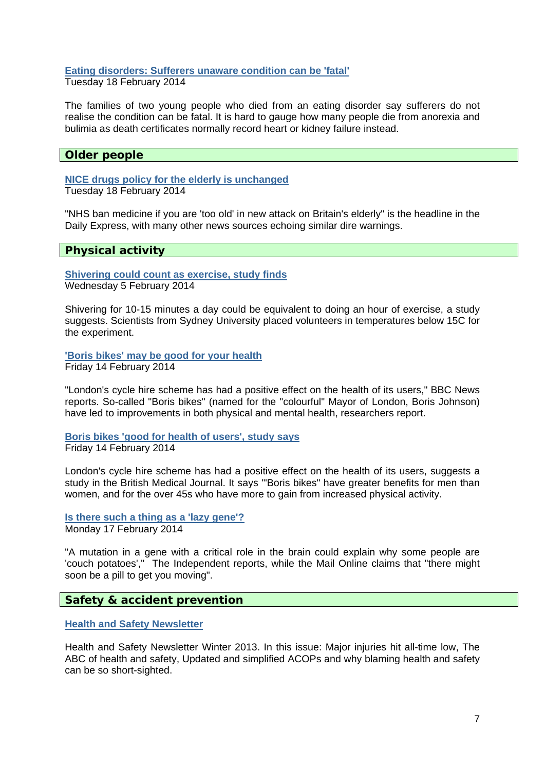# **[Eating disorders: Sufferers unaware condition can be 'fatal'](http://www.bbc.co.uk/news/uk-northern-ireland-26227243)**

Tuesday 18 February 2014

The families of two young people who died from an eating disorder say sufferers do not realise the condition can be fatal. It is hard to gauge how many people die from anorexia and bulimia as death certificates normally record heart or kidney failure instead.

# **Older people**

**[NICE drugs policy for the elderly is unchanged](http://www.nhs.uk/news/2014/02February/Pages/NICE-drugs-policy-for-the-elderly-is-unchanged.aspx)** Tuesday 18 February 2014

"NHS ban medicine if you are 'too old' in new attack on Britain's elderly" is the headline in the Daily Express, with many other news sources echoing similar dire warnings.

### **Physical activity**

**[Shivering could count as exercise, study finds](http://www.bbc.co.uk/news/science-environment-26048718)** Wednesday 5 February 2014

Shivering for 10-15 minutes a day could be equivalent to doing an hour of exercise, a study suggests. Scientists from Sydney University placed volunteers in temperatures below 15C for the experiment.

**['Boris bikes' may be good for your health](http://www.nhs.uk/news/2014/02February/Pages/Boris-bikes-may-be-good-for-your-health.aspx)** Friday 14 February 2014

"London's cycle hire scheme has had a positive effect on the health of its users," BBC News reports. So-called "Boris bikes" (named for the "colourful" Mayor of London, Boris Johnson) have led to improvements in both physical and mental health, researchers report.

**[Boris bikes 'good for health of users', study says](http://www.bbc.co.uk/news/health-26171326)** Friday 14 February 2014

London's cycle hire scheme has had a positive effect on the health of its users, suggests a study in the British Medical Journal. It says '"Boris bikes" have greater benefits for men than women, and for the over 45s who have more to gain from increased physical activity.

#### **[Is there such a thing as a 'lazy gene'?](http://www.nhs.uk/news/2014/02February/Pages/Is-there-such-a-thing-as-a-lazy-gene.aspx)** Monday 17 February 2014

"A mutation in a gene with a critical role in the brain could explain why some people are 'couch potatoes'," The Independent reports, while the Mail Online claims that "there might soon be a pill to get you moving".

# **Safety & accident prevention**

**[Health and Safety Newsletter](http://www.hse.gov.uk/pubns/books/newsletter.htm)**

Health and Safety Newsletter Winter 2013. In this issue: Major injuries hit all-time low, The ABC of health and safety, Updated and simplified ACOPs and why blaming health and safety can be so short-sighted.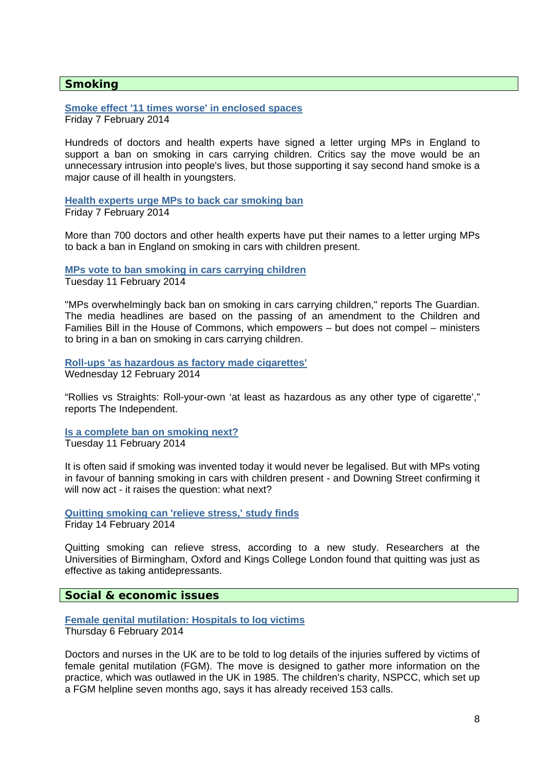# **Smoking**

**[Smoke effect '11 times worse' in enclosed spaces](http://www.bbc.co.uk/news/health-26079605)**

Friday 7 February 2014

Hundreds of doctors and health experts have signed a letter urging MPs in England to support a ban on smoking in cars carrying children. Critics say the move would be an unnecessary intrusion into people's lives, but those supporting it say second hand smoke is a major cause of ill health in youngsters.

**[Health experts urge MPs to back car smoking ban](http://www.bbc.co.uk/news/health-26074476)** Friday 7 February 2014

More than 700 doctors and other health experts have put their names to a letter urging MPs to back a ban in England on smoking in cars with children present.

**[MPs vote to ban smoking in cars carrying children](http://www.nhs.uk/news/2014/02February/Pages/MPs-vote-to-ban-smoking-in-cars-carrying-children.aspx)**

Tuesday 11 February 2014

"MPs overwhelmingly back ban on smoking in cars carrying children," reports The Guardian. The media headlines are based on the passing of an amendment to the Children and Families Bill in the House of Commons, which empowers – but does not compel – ministers to bring in a ban on smoking in cars carrying children.

**[Roll-ups 'as hazardous as factory made cigarettes'](http://www.nhs.uk/news/2014/02February/Pages/Roll-ups-as-hazardous-as-factory-made-cigarettes.aspx)** Wednesday 12 February 2014

"Rollies vs Straights: Roll-your-own 'at least as hazardous as any other type of cigarette'," reports The Independent.

**[Is a complete ban on smoking next?](http://www.bbc.co.uk/news/health-26135266)** Tuesday 11 February 2014

It is often said if smoking was invented today it would never be legalised. But with MPs voting in favour of banning smoking in cars with children present - and Downing Street confirming it will now act - it raises the question: what next?

**[Quitting smoking can 'relieve stress,' study finds](http://www.bbc.co.uk/news/health-26188763)** Friday 14 February 2014

Quitting smoking can relieve stress, according to a new study. Researchers at the Universities of Birmingham, Oxford and Kings College London found that quitting was just as effective as taking antidepressants.

**Social & economic issues** 

**[Female genital mutilation: Hospitals to log victims](http://www.bbc.co.uk/news/education-26049733)**

Thursday 6 February 2014

Doctors and nurses in the UK are to be told to log details of the injuries suffered by victims of female genital mutilation (FGM). The move is designed to gather more information on the practice, which was outlawed in the UK in 1985. The children's charity, NSPCC, which set up a FGM helpline seven months ago, says it has already received 153 calls.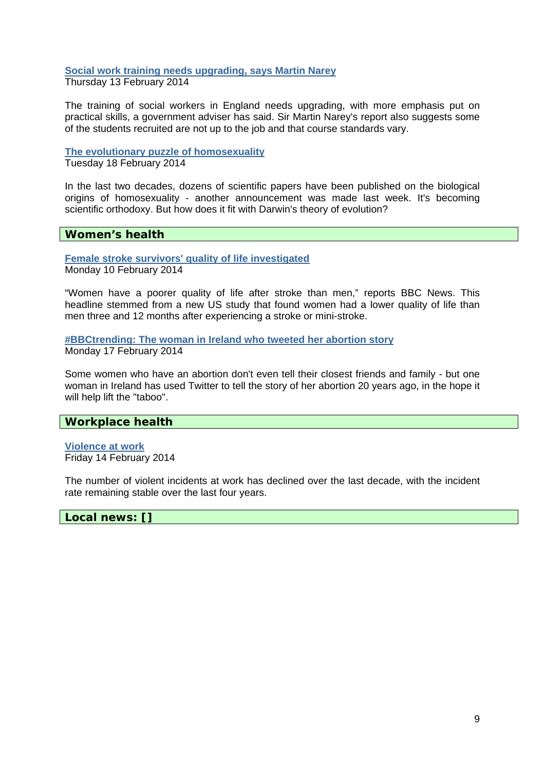# **[Social work training needs upgrading, says Martin Narey](http://www.bbc.co.uk/news/uk-26167541)**

Thursday 13 February 2014

The training of social workers in England needs upgrading, with more emphasis put on practical skills, a government adviser has said. Sir Martin Narey's report also suggests some of the students recruited are not up to the job and that course standards vary.

### **[The evolutionary puzzle of homosexuality](http://www.bbc.co.uk/news/magazine-26089486)**

Tuesday 18 February 2014

In the last two decades, dozens of scientific papers have been published on the biological origins of homosexuality - another announcement was made last week. It's becoming scientific orthodoxy. But how does it fit with Darwin's theory of evolution?

# **Women's health**

**[Female stroke survivors' quality of life investigated](http://www.nhs.uk/news/2014/02February/Pages/Female-stroke-survivors-quality-of-life-investigated.aspx)** Monday 10 February 2014

"Women have a poorer quality of life after stroke than men," reports BBC News. This headline stemmed from a new US study that found women had a lower quality of life than men three and 12 months after experiencing a stroke or mini-stroke.

**[#BBCtrending: The woman in Ireland who tweeted her abortion story](http://www.bbc.co.uk/news/blogs-trending-26224885)** Monday 17 February 2014

Some women who have an abortion don't even tell their closest friends and family - but one woman in Ireland has used Twitter to tell the story of her abortion 20 years ago, in the hope it will help lift the "taboo".

# **Workplace health**

**[Violence at work](http://www.hse.gov.uk/statistics/causinj/violence/index.htm)** Friday 14 February 2014

The number of violent incidents at work has declined over the last decade, with the incident rate remaining stable over the last four years.

**Local news: []**